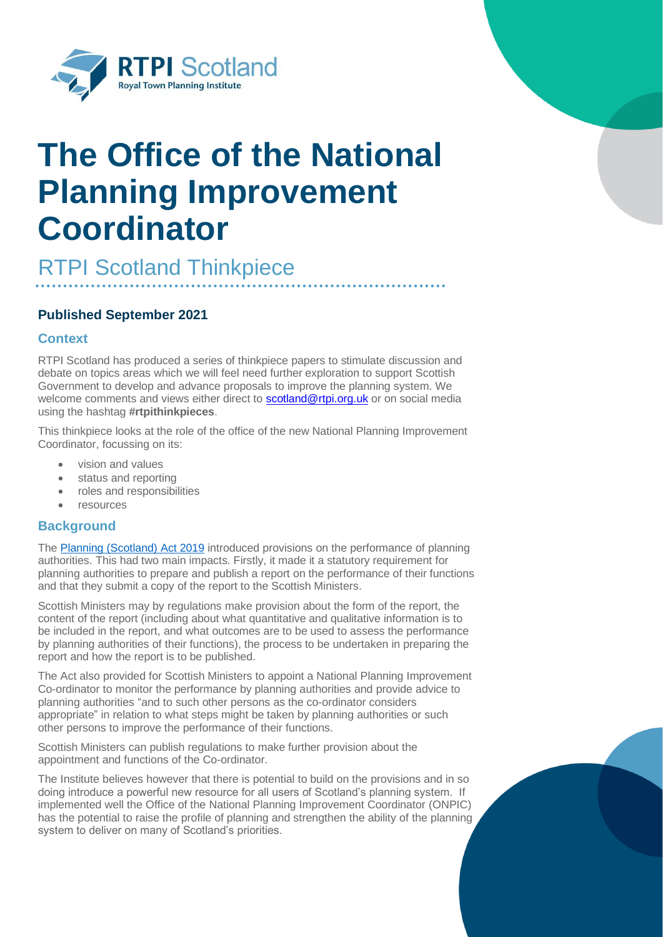

# **The Office of the National Planning Improvement Coordinator**

RTPI Scotland Thinkpiece

# **Published September 2021**

# **Context**

RTPI Scotland has produced a series of thinkpiece papers to stimulate discussion and debate on topics areas which we will feel need further exploration to support Scottish Government to develop and advance proposals to improve the planning system. We welcome comments and views either direct to [scotland@rtpi.org.uk](mailto:scotland@rtpi.org.uk) or on social media using the hashtag **#rtpithinkpieces**.

This thinkpiece looks at the role of the office of the new National Planning Improvement Coordinator, focussing on its:

- vision and values
- status and reporting
- roles and responsibilities
- resources

## **Background**

The [Planning \(Scotland\) Act 2019](https://www.legislation.gov.uk/asp/2019/13/contents/enacted) introduced provisions on the performance of planning authorities. This had two main impacts. Firstly, it made it a statutory requirement for planning authorities to prepare and publish a report on the performance of their functions and that they submit a copy of the report to the Scottish Ministers.

Scottish Ministers may by regulations make provision about the form of the report, the content of the report (including about what quantitative and qualitative information is to be included in the report, and what outcomes are to be used to assess the performance by planning authorities of their functions), the process to be undertaken in preparing the report and how the report is to be published.

The Act also provided for Scottish Ministers to appoint a National Planning Improvement Co-ordinator to monitor the performance by planning authorities and provide advice to planning authorities "and to such other persons as the co-ordinator considers appropriate" in relation to what steps might be taken by planning authorities or such other persons to improve the performance of their functions.

Scottish Ministers can publish regulations to make further provision about the appointment and functions of the Co-ordinator.

The Institute believes however that there is potential to build on the provisions and in so doing introduce a powerful new resource for all users of Scotland's planning system. If implemented well the Office of the National Planning Improvement Coordinator (ONPIC) has the potential to raise the profile of planning and strengthen the ability of the planning system to deliver on many of Scotland's priorities.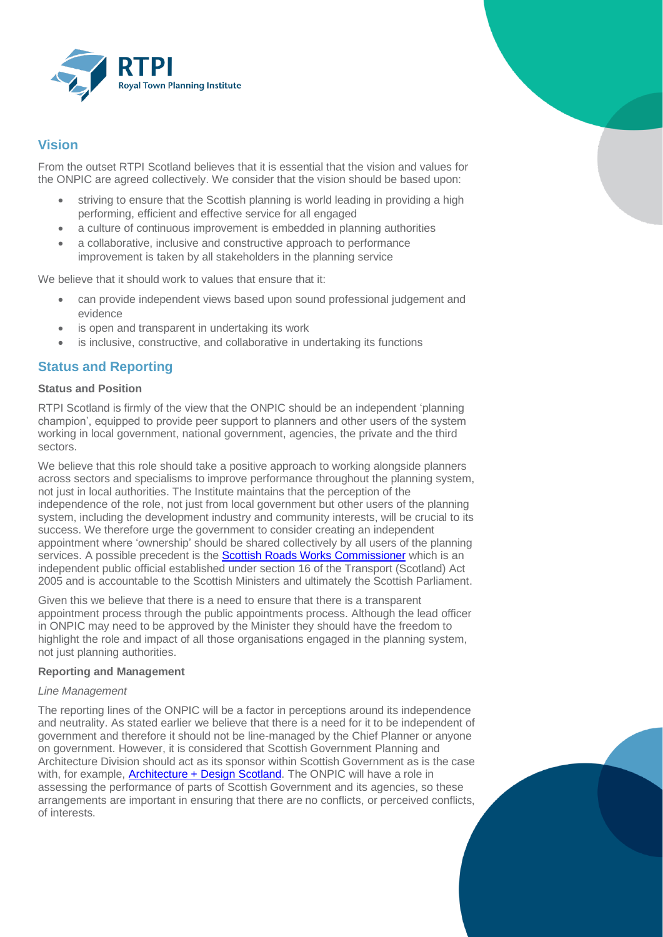

# **Vision**

From the outset RTPI Scotland believes that it is essential that the vision and values for the ONPIC are agreed collectively. We consider that the vision should be based upon:

- striving to ensure that the Scottish planning is world leading in providing a high performing, efficient and effective service for all engaged
- a culture of continuous improvement is embedded in planning authorities
- a collaborative, inclusive and constructive approach to performance improvement is taken by all stakeholders in the planning service

We believe that it should work to values that ensure that it:

- can provide independent views based upon sound professional judgement and evidence
- is open and transparent in undertaking its work
- is inclusive, constructive, and collaborative in undertaking its functions

# **Status and Reporting**

## **Status and Position**

RTPI Scotland is firmly of the view that the ONPIC should be an independent 'planning champion', equipped to provide peer support to planners and other users of the system working in local government, national government, agencies, the private and the third sectors.

We believe that this role should take a positive approach to working alongside planners across sectors and specialisms to improve performance throughout the planning system, not just in local authorities. The Institute maintains that the perception of the independence of the role, not just from local government but other users of the planning system, including the development industry and community interests, will be crucial to its success. We therefore urge the government to consider creating an independent appointment where 'ownership' should be shared collectively by all users of the planning services. A possible precedent is the [Scottish Roads Works Commissioner](https://roadworks.scot/index.php/home) which is an independent public official established under section 16 of the Transport (Scotland) Act 2005 and is accountable to the Scottish Ministers and ultimately the Scottish Parliament.

Given this we believe that there is a need to ensure that there is a transparent appointment process through the public appointments process. Although the lead officer in ONPIC may need to be approved by the Minister they should have the freedom to highlight the role and impact of all those organisations engaged in the planning system, not just planning authorities.

## **Reporting and Management**

## *Line Management*

The reporting lines of the ONPIC will be a factor in perceptions around its independence and neutrality. As stated earlier we believe that there is a need for it to be independent of government and therefore it should not be line-managed by the Chief Planner or anyone on government. However, it is considered that Scottish Government Planning and Architecture Division should act as its sponsor within Scottish Government as is the case with, for example, Architecture + [Design Scotland.](https://www.ads.org.uk/) The ONPIC will have a role in assessing the performance of parts of Scottish Government and its agencies, so these arrangements are important in ensuring that there are no conflicts, or perceived conflicts, of interests.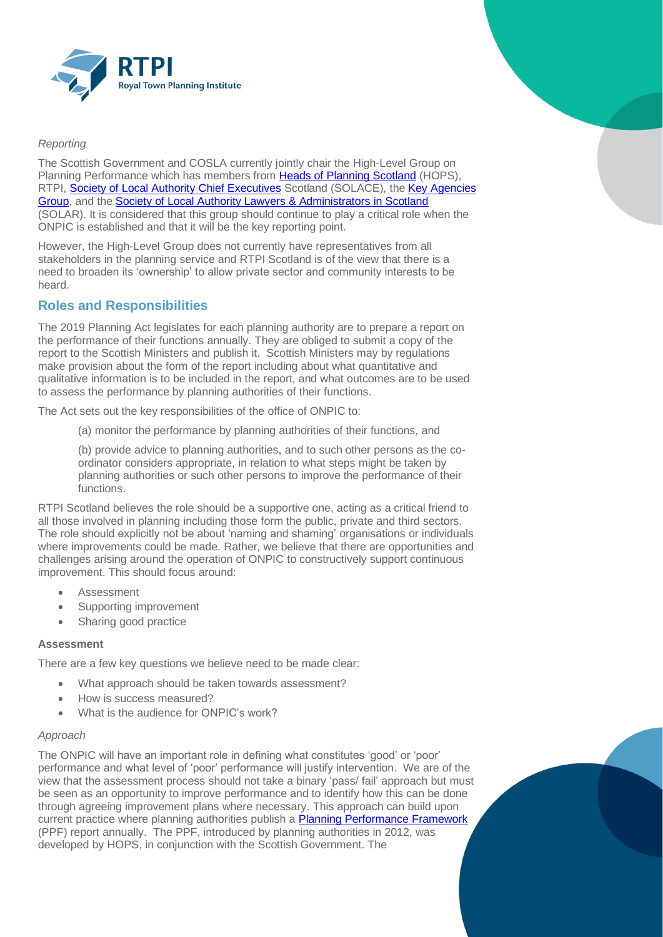

## *Reporting*

The Scottish Government and COSLA currently jointly chair the High-Level Group on Planning Performance which has members from [Heads of Planning Scotland](https://hopscotland.org.uk/) (HOPS), RTPI, [Society of Local Authority Chief Executives](https://solace.org.uk/) Scotland (SOLACE), the Key Agencies [Group,](https://www.gov.scot/groups/key-agencies-group/) and th[e Society of Local Authority Lawyers & Administrators in Scotland](https://www.solarscotland.org.uk/) (SOLAR). It is considered that this group should continue to play a critical role when the ONPIC is established and that it will be the key reporting point.

However, the High-Level Group does not currently have representatives from all stakeholders in the planning service and RTPI Scotland is of the view that there is a need to broaden its 'ownership' to allow private sector and community interests to be heard.

# **Roles and Responsibilities**

The 2019 Planning Act legislates for each planning authority are to prepare a report on the performance of their functions annually. They are obliged to submit a copy of the report to the Scottish Ministers and publish it. Scottish Ministers may by regulations make provision about the form of the report including about what quantitative and qualitative information is to be included in the report, and what outcomes are to be used to assess the performance by planning authorities of their functions.

The Act sets out the key responsibilities of the office of ONPIC to:

(a) monitor the performance by planning authorities of their functions, and

(b) provide advice to planning authorities, and to such other persons as the coordinator considers appropriate, in relation to what steps might be taken by planning authorities or such other persons to improve the performance of their functions.

RTPI Scotland believes the role should be a supportive one, acting as a critical friend to all those involved in planning including those form the public, private and third sectors. The role should explicitly not be about 'naming and shaming' organisations or individuals where improvements could be made. Rather, we believe that there are opportunities and challenges arising around the operation of ONPIC to constructively support continuous improvement. This should focus around:

- **Assessment**
- Supporting improvement
- Sharing good practice

## **Assessment**

There are a few key questions we believe need to be made clear:

- What approach should be taken towards assessment?
- How is success measured?
- What is the audience for ONPIC's work?

# *Approach*

The ONPIC will have an important role in defining what constitutes 'good' or 'poor' performance and what level of 'poor' performance will justify intervention. We are of the view that the assessment process should not take a binary 'pass/ fail' approach but must be seen as an opportunity to improve performance and to identify how this can be done through agreeing improvement plans where necessary. This approach can build upon current practice where planning authorities publish a **Planning Performance Framework** (PPF) report annually. The PPF, introduced by planning authorities in 2012, was developed by HOPS, in conjunction with the Scottish Government. The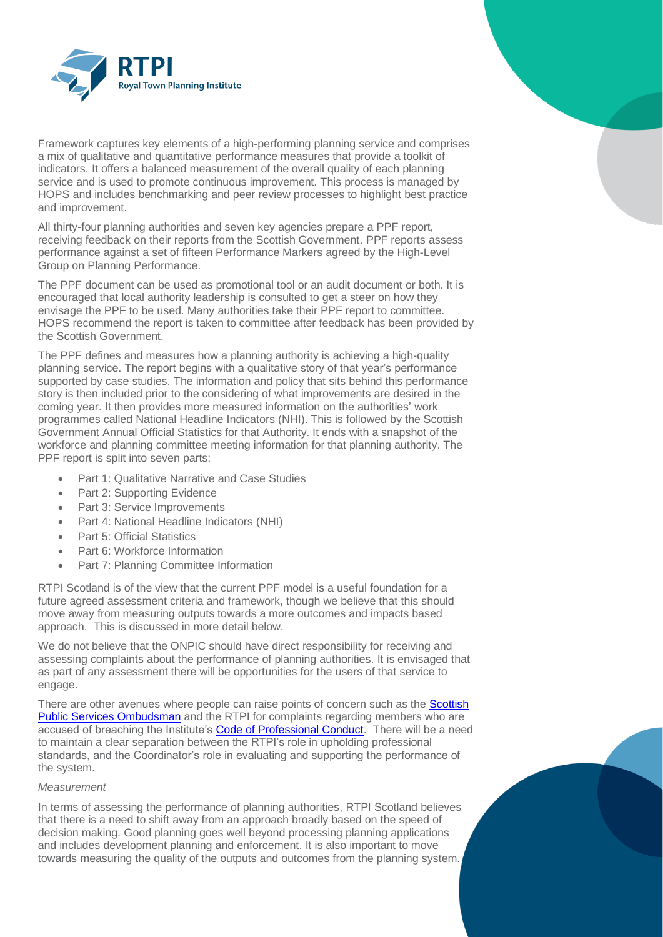

Framework captures key elements of a high-performing planning service and comprises a mix of qualitative and quantitative performance measures that provide a toolkit of indicators. It offers a balanced measurement of the overall quality of each planning service and is used to promote continuous improvement. This process is managed by HOPS and includes benchmarking and peer review processes to highlight best practice and improvement.

All thirty-four planning authorities and seven key agencies prepare a PPF report, receiving feedback on their reports from the Scottish Government. PPF reports assess performance against a set of fifteen Performance Markers agreed by the High-Level Group on Planning Performance.

The PPF document can be used as promotional tool or an audit document or both. It is encouraged that local authority leadership is consulted to get a steer on how they envisage the PPF to be used. Many authorities take their PPF report to committee. HOPS recommend the report is taken to committee after feedback has been provided by the Scottish Government.

The PPF defines and measures how a planning authority is achieving a high-quality planning service. The report begins with a qualitative story of that year's performance supported by case studies. The information and policy that sits behind this performance story is then included prior to the considering of what improvements are desired in the coming year. It then provides more measured information on the authorities' work programmes called National Headline Indicators (NHI). This is followed by the Scottish Government Annual Official Statistics for that Authority. It ends with a snapshot of the workforce and planning committee meeting information for that planning authority. The PPF report is split into seven parts:

- Part 1: Qualitative Narrative and Case Studies
- Part 2: Supporting Evidence
- Part 3: Service Improvements
- Part 4: National Headline Indicators (NHI)
- Part 5: Official Statistics
- Part 6: Workforce Information
- Part 7: Planning Committee Information

RTPI Scotland is of the view that the current PPF model is a useful foundation for a future agreed assessment criteria and framework, though we believe that this should move away from measuring outputs towards a more outcomes and impacts based approach. This is discussed in more detail below.

We do not believe that the ONPIC should have direct responsibility for receiving and assessing complaints about the performance of planning authorities. It is envisaged that as part of any assessment there will be opportunities for the users of that service to engage.

There are other avenues where people can raise points of concern such as the Scottish [Public Services Ombudsman](https://www.spso.org.uk/) and the RTPI for complaints regarding members who are accused of breaching the Institute'[s Code of Professional Conduct.](https://www.rtpi.org.uk/news/2020/january/code-of-professional-conduct/#:~:text=RTPI%20members%20are%20bound%20by%20a%20Code%20of,setting%20out%20required%20standards%20of%20practice%20and%20ethics.) There will be a need to maintain a clear separation between the RTPI's role in upholding professional standards, and the Coordinator's role in evaluating and supporting the performance of the system.

## *Measurement*

In terms of assessing the performance of planning authorities, RTPI Scotland believes that there is a need to shift away from an approach broadly based on the speed of decision making. Good planning goes well beyond processing planning applications and includes development planning and enforcement. It is also important to move towards measuring the quality of the outputs and outcomes from the planning system.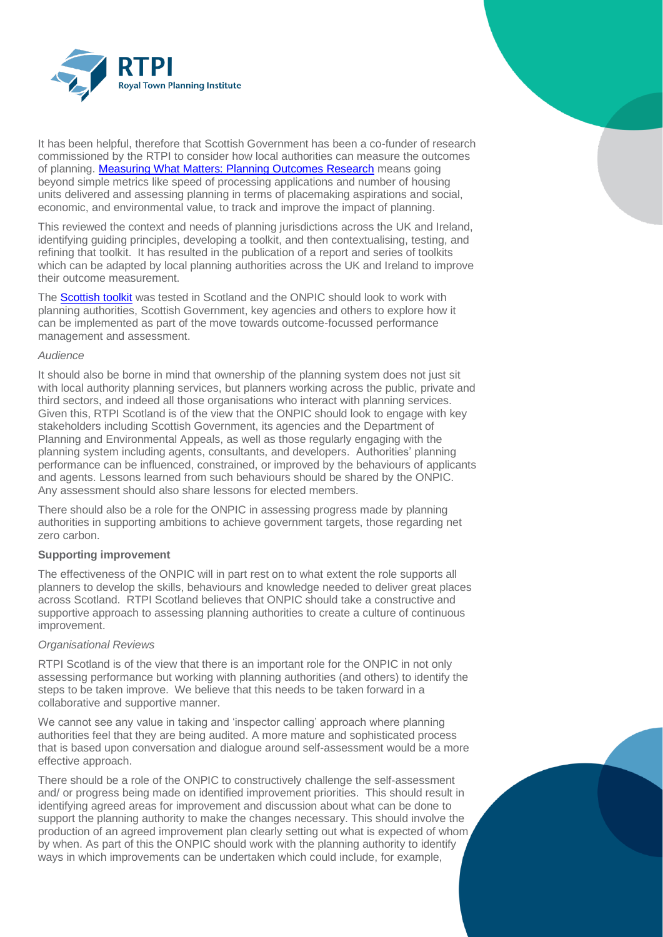

It has been helpful, therefore that Scottish Government has been a co-funder of research commissioned by the RTPI to consider how local authorities can measure the outcomes of planning. [Measuring What Matters: Planning Outcomes Research](https://www.rtpi.org.uk/research/2020/november/measuring-what-matters-planning-outcomes-research/) means going beyond simple metrics like speed of processing applications and number of housing units delivered and assessing planning in terms of placemaking aspirations and social, economic, and environmental value, to track and improve the impact of planning.

This reviewed the context and needs of planning jurisdictions across the UK and Ireland, identifying guiding principles, developing a toolkit, and then contextualising, testing, and refining that toolkit. It has resulted in the publication of a report and series of toolkits which can be adapted by local planning authorities across the UK and Ireland to improve their outcome measurement.

The **Scottish toolkit** was tested in Scotland and the ONPIC should look to work with planning authorities, Scottish Government, key agencies and others to explore how it can be implemented as part of the move towards outcome-focussed performance management and assessment.

## *Audience*

It should also be borne in mind that ownership of the planning system does not just sit with local authority planning services, but planners working across the public, private and third sectors, and indeed all those organisations who interact with planning services. Given this, RTPI Scotland is of the view that the ONPIC should look to engage with key stakeholders including Scottish Government, its agencies and the Department of Planning and Environmental Appeals, as well as those regularly engaging with the planning system including agents, consultants, and developers. Authorities' planning performance can be influenced, constrained, or improved by the behaviours of applicants and agents. Lessons learned from such behaviours should be shared by the ONPIC. Any assessment should also share lessons for elected members.

There should also be a role for the ONPIC in assessing progress made by planning authorities in supporting ambitions to achieve government targets, those regarding net zero carbon.

## **Supporting improvement**

The effectiveness of the ONPIC will in part rest on to what extent the role supports all planners to develop the skills, behaviours and knowledge needed to deliver great places across Scotland. RTPI Scotland believes that ONPIC should take a constructive and supportive approach to assessing planning authorities to create a culture of continuous improvement.

## *Organisational Reviews*

RTPI Scotland is of the view that there is an important role for the ONPIC in not only assessing performance but working with planning authorities (and others) to identify the steps to be taken improve. We believe that this needs to be taken forward in a collaborative and supportive manner.

We cannot see any value in taking and 'inspector calling' approach where planning authorities feel that they are being audited. A more mature and sophisticated process that is based upon conversation and dialogue around self-assessment would be a more effective approach.

There should be a role of the ONPIC to constructively challenge the self-assessment and/ or progress being made on identified improvement priorities. This should result in identifying agreed areas for improvement and discussion about what can be done to support the planning authority to make the changes necessary. This should involve the production of an agreed improvement plan clearly setting out what is expected of whom by when. As part of this the ONPIC should work with the planning authority to identify ways in which improvements can be undertaken which could include, for example,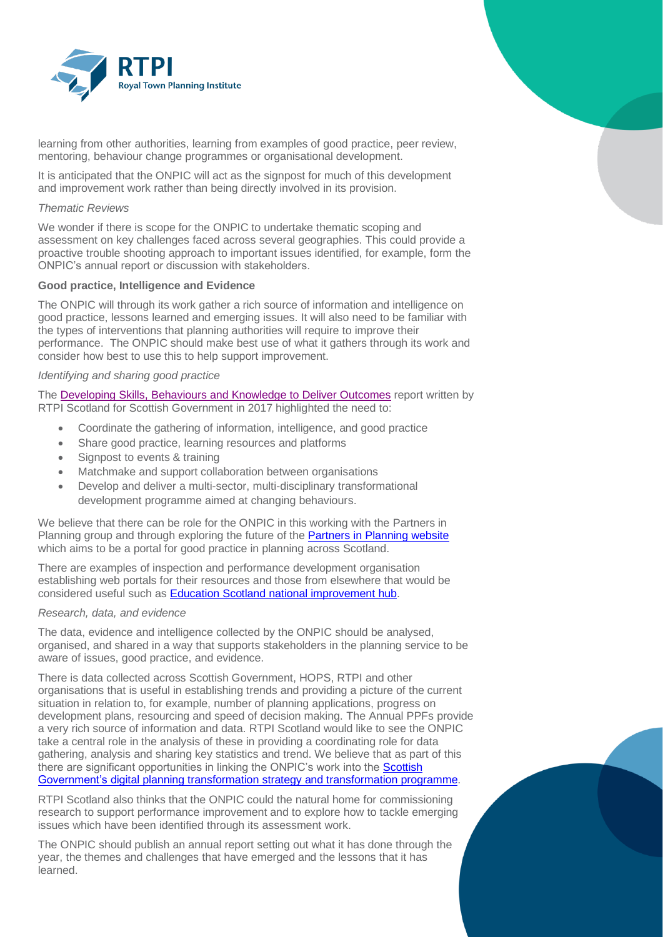

learning from other authorities, learning from examples of good practice, peer review, mentoring, behaviour change programmes or organisational development.

It is anticipated that the ONPIC will act as the signpost for much of this development and improvement work rather than being directly involved in its provision.

## *Thematic Reviews*

We wonder if there is scope for the ONPIC to undertake thematic scoping and assessment on key challenges faced across several geographies. This could provide a proactive trouble shooting approach to important issues identified, for example, form the ONPIC's annual report or discussion with stakeholders.

## **Good practice, Intelligence and Evidence**

The ONPIC will through its work gather a rich source of information and intelligence on good practice, lessons learned and emerging issues. It will also need to be familiar with the types of interventions that planning authorities will require to improve their performance. The ONPIC should make best use of what it gathers through its work and consider how best to use this to help support improvement.

## *Identifying and sharing good practice*

The [Developing Skills, Behaviours and Knowledge to Deliver Outcomes](https://www.gov.scot/binaries/content/documents/govscot/publications/corporate-report/2017/04/planning-review-developing-skills-behaviours-knowledge-report/documents/developing-skills-behaviours-knowledge-deliver-outcomes-pdf/developing-skills-behaviours-knowledge-deliver-outcomes-pdf/govscot:document/Developing%20Skills%20Behaviours%20and%20Knowledge%20to%20Deliver%20Outcomes.pdf) report written by RTPI Scotland for Scottish Government in 2017 highlighted the need to:

- Coordinate the gathering of information, intelligence, and good practice
- Share good practice, learning resources and platforms
- Signpost to events & training
- Matchmake and support collaboration between organisations
- Develop and deliver a multi-sector, multi-disciplinary transformational development programme aimed at changing behaviours.

We believe that there can be role for the ONPIC in this working with the Partners in Planning group and through exploring the future of the [Partners in Planning website](http://www.partnersinplanning.scot/) which aims to be a portal for good practice in planning across Scotland.

There are examples of inspection and performance development organisation establishing web portals for their resources and those from elsewhere that would be considered useful such as [Education Scotland national improvement hub.](https://education.gov.scot/improvement/)

## *Research, data, and evidence*

The data, evidence and intelligence collected by the ONPIC should be analysed, organised, and shared in a way that supports stakeholders in the planning service to be aware of issues, good practice, and evidence.

There is data collected across Scottish Government, HOPS, RTPI and other organisations that is useful in establishing trends and providing a picture of the current situation in relation to, for example, number of planning applications, progress on development plans, resourcing and speed of decision making. The Annual PPFs provide a very rich source of information and data. RTPI Scotland would like to see the ONPIC take a central role in the analysis of these in providing a coordinating role for data gathering, analysis and sharing key statistics and trend. We believe that as part of this there are significant opportunities in linking the ONPIC's work into the Scottish [Government's digital planning transformation strategy and transformation programme.](https://www.transformingplanning.scot/digital-planning/scotlands-digital-strategy-for-planning/)

RTPI Scotland also thinks that the ONPIC could the natural home for commissioning research to support performance improvement and to explore how to tackle emerging issues which have been identified through its assessment work.

The ONPIC should publish an annual report setting out what it has done through the year, the themes and challenges that have emerged and the lessons that it has learned.